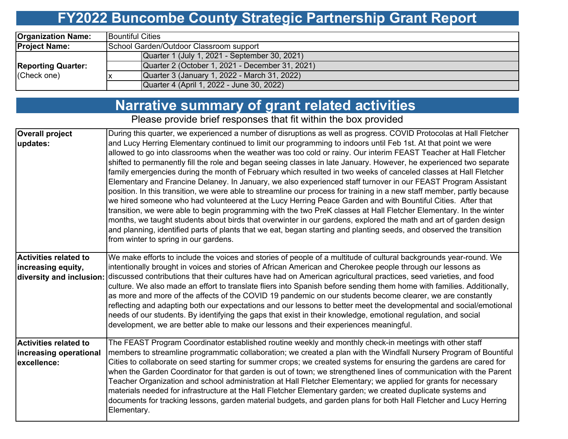## **FY2022 Buncombe County Strategic Partnership Grant Report**

| <b>Organization Name:</b> | <b>IBountiful Cities</b>                        |  |  |  |  |  |  |
|---------------------------|-------------------------------------------------|--|--|--|--|--|--|
| <b>Project Name:</b>      | School Garden/Outdoor Classroom support         |  |  |  |  |  |  |
|                           | Quarter 1 (July 1, 2021 - September 30, 2021)   |  |  |  |  |  |  |
| <b>Reporting Quarter:</b> | Quarter 2 (October 1, 2021 - December 31, 2021) |  |  |  |  |  |  |
| (Check one)               | Quarter 3 (January 1, 2022 - March 31, 2022)    |  |  |  |  |  |  |
|                           | Quarter 4 (April 1, 2022 - June 30, 2022)       |  |  |  |  |  |  |

## **Narrative summary of grant related activities**

Please provide brief responses that fit within the box provided

| <b>Overall project</b><br>updates:                                             | During this quarter, we experienced a number of disruptions as well as progress. COVID Protocolas at Hall Fletcher<br>and Lucy Herring Elementary continued to limit our programming to indoors until Feb 1st. At that point we were<br>allowed to go into classrooms when the weather was too cold or rainy. Our interim FEAST Teacher at Hall Fletcher<br>shifted to permanently fill the role and began seeing classes in late January. However, he experienced two separate<br>family emergencies during the month of February which resulted in two weeks of canceled classes at Hall Fletcher<br>Elementary and Francine Delaney. In January, we also experienced staff turnover in our FEAST Program Assistant<br>position. In this transition, we were able to streamline our process for training in a new staff member, partly because<br>we hired someone who had volunteered at the Lucy Herring Peace Garden and with Bountiful Cities. After that<br>transition, we were able to begin programming with the two PreK classes at Hall Fletcher Elementary. In the winter<br>months, we taught students about birds that overwinter in our gardens, explored the math and art of garden design<br>and planning, identified parts of plants that we eat, began starting and planting seeds, and observed the transition<br>from winter to spring in our gardens. |
|--------------------------------------------------------------------------------|-----------------------------------------------------------------------------------------------------------------------------------------------------------------------------------------------------------------------------------------------------------------------------------------------------------------------------------------------------------------------------------------------------------------------------------------------------------------------------------------------------------------------------------------------------------------------------------------------------------------------------------------------------------------------------------------------------------------------------------------------------------------------------------------------------------------------------------------------------------------------------------------------------------------------------------------------------------------------------------------------------------------------------------------------------------------------------------------------------------------------------------------------------------------------------------------------------------------------------------------------------------------------------------------------------------------------------------------------------------------------------|
| <b>Activities related to</b><br>increasing equity,<br>diversity and inclusion: | We make efforts to include the voices and stories of people of a multitude of cultural backgrounds year-round. We<br>intentionally brought in voices and stories of African American and Cherokee people through our lessons as<br>discussed contributions that their cultures have had on American agricultural practices, seed varieties, and food<br>culture. We also made an effort to translate fliers into Spanish before sending them home with families. Additionally,<br>as more and more of the affects of the COVID 19 pandemic on our students become clearer, we are constantly<br>reflecting and adapting both our expectations and our lessons to better meet the developmental and social/emotional<br>needs of our students. By identifying the gaps that exist in their knowledge, emotional regulation, and social<br>development, we are better able to make our lessons and their experiences meaningful.                                                                                                                                                                                                                                                                                                                                                                                                                                              |
| <b>Activities related to</b><br>increasing operational<br>excellence:          | The FEAST Program Coordinator established routine weekly and monthly check-in meetings with other staff<br>members to streamline programmatic collaboration; we created a plan with the Windfall Nursery Program of Bountiful<br>Cities to collaborate on seed starting for summer crops; we created systems for ensuring the gardens are cared for<br>when the Garden Coordinator for that garden is out of town; we strengthened lines of communication with the Parent<br>Teacher Organization and school administration at Hall Fletcher Elementary; we applied for grants for necessary<br>materials needed for infrastructure at the Hall Fletcher Elementary garden; we created duplicate systems and<br>documents for tracking lessons, garden material budgets, and garden plans for both Hall Fletcher and Lucy Herring<br>Elementary.                                                                                                                                                                                                                                                                                                                                                                                                                                                                                                                            |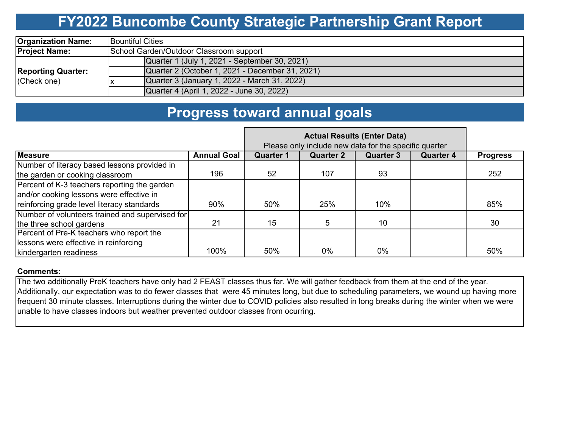# **FY2022 Buncombe County Strategic Partnership Grant Report**

| <b>Organization Name:</b>                | <b>IBountiful Cities</b>                        |  |  |  |  |  |  |
|------------------------------------------|-------------------------------------------------|--|--|--|--|--|--|
| <b>Project Name:</b>                     | School Garden/Outdoor Classroom support         |  |  |  |  |  |  |
| <b>Reporting Quarter:</b><br>(Check one) | Quarter 1 (July 1, 2021 - September 30, 2021)   |  |  |  |  |  |  |
|                                          | Quarter 2 (October 1, 2021 - December 31, 2021) |  |  |  |  |  |  |
|                                          | Quarter 3 (January 1, 2022 - March 31, 2022)    |  |  |  |  |  |  |
|                                          | Quarter 4 (April 1, 2022 - June 30, 2022)       |  |  |  |  |  |  |

### **Progress toward annual goals**

|                                                 | Please only include new data for the specific quarter |                  |                  |                  |                  |                 |
|-------------------------------------------------|-------------------------------------------------------|------------------|------------------|------------------|------------------|-----------------|
| <b>Measure</b>                                  | <b>Annual Goal</b>                                    | <b>Quarter 1</b> | <b>Quarter 2</b> | <b>Quarter 3</b> | <b>Quarter 4</b> | <b>Progress</b> |
| Number of literacy based lessons provided in    |                                                       |                  |                  |                  |                  |                 |
| the garden or cooking classroom                 | 196                                                   | 52               | 107              | 93               |                  | 252             |
| Percent of K-3 teachers reporting the garden    |                                                       |                  |                  |                  |                  |                 |
| and/or cooking lessons were effective in        |                                                       |                  |                  |                  |                  |                 |
| reinforcing grade level literacy standards      | 90%                                                   | 50%              | 25%              | 10%              |                  | 85%             |
| Number of volunteers trained and supervised for |                                                       |                  |                  |                  |                  |                 |
| the three school gardens                        | 21                                                    | 15               |                  | 10               |                  | 30              |
| Percent of Pre-K teachers who report the        |                                                       |                  |                  |                  |                  |                 |
| lessons were effective in reinforcing           |                                                       |                  |                  |                  |                  |                 |
| kindergarten readiness                          | 100%                                                  | 50%              | 0%               | 0%               |                  | 50%             |

#### **Comments:**

The two additionally PreK teachers have only had 2 FEAST classes thus far. We will gather feedback from them at the end of the year. Additionally, our expectation was to do fewer classes that were 45 minutes long, but due to scheduling parameters, we wound up having more frequent 30 minute classes. Interruptions during the winter due to COVID policies also resulted in long breaks during the winter when we were unable to have classes indoors but weather prevented outdoor classes from ocurring.